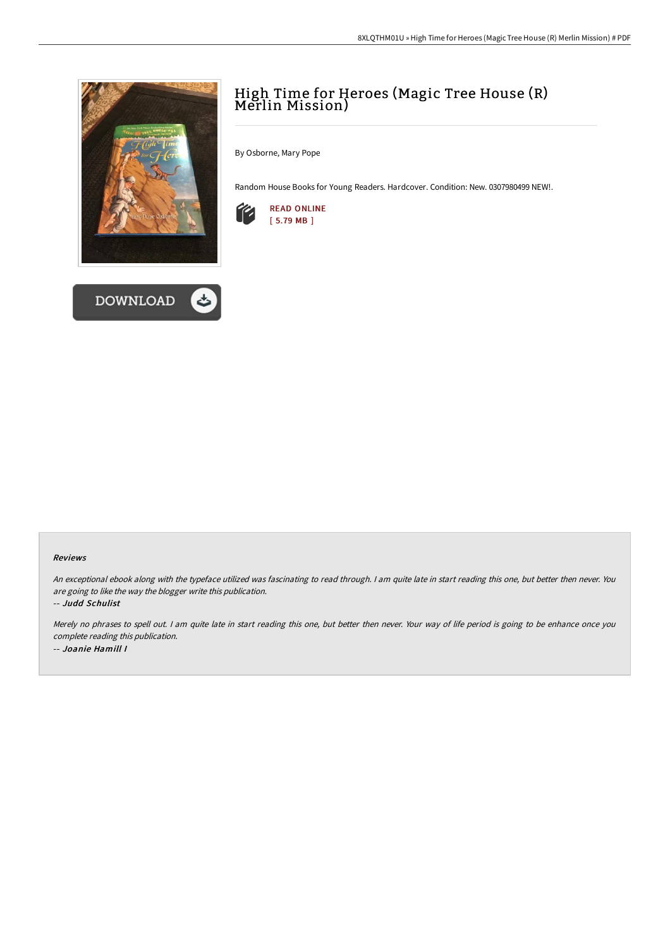



# High Time for Heroes (Magic Tree House (R) Merlin Mission)

By Osborne, Mary Pope

Random House Books for Young Readers. Hardcover. Condition: New. 0307980499 NEW!.



#### Reviews

An exceptional ebook along with the typeface utilized was fascinating to read through. I am quite late in start reading this one, but better then never. You are going to like the way the blogger write this publication.

-- Judd Schulist

Merely no phrases to spell out. <sup>I</sup> am quite late in start reading this one, but better then never. Your way of life period is going to be enhance once you complete reading this publication. -- Joanie Hamill I